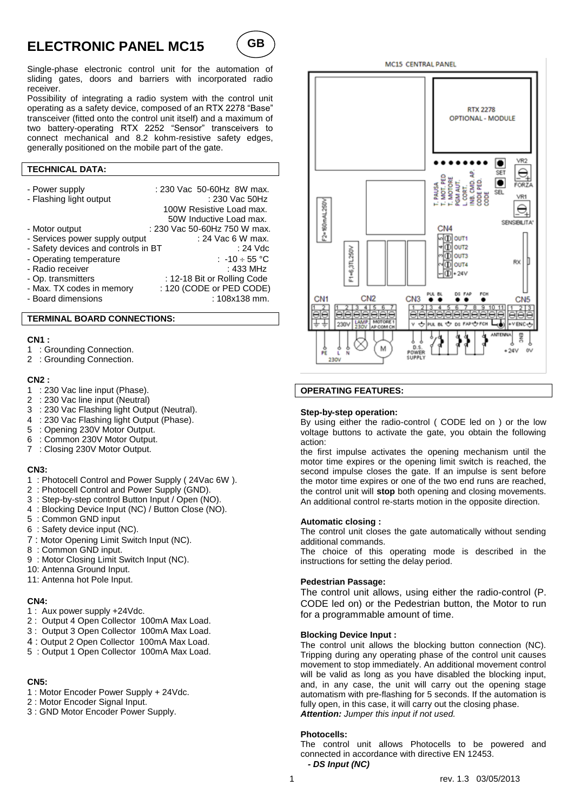# **ELECTRONIC PANEL MC15**



Single-phase electronic control unit for the automation of sliding gates, doors and barriers with incorporated radio receiver.

Possibility of integrating a radio system with the control unit operating as a safety device, composed of an RTX 2278 "Base" transceiver (fitted onto the control unit itself) and a maximum of two battery-operating RTX 2252 "Sensor" transceivers to connect mechanical and 8.2 kohm-resistive safety edges, generally positioned on the mobile part of the gate.

## **TECHNICAL DATA:**

| - Power supply<br>- Flashing light output | : 230 Vac 50-60Hz 8W max.<br>: 230 Vac 50Hz<br>100W Resistive Load max.<br>50W Inductive Load max. |
|-------------------------------------------|----------------------------------------------------------------------------------------------------|
| - Motor output                            | : 230 Vac 50-60Hz 750 W max.                                                                       |
| - Services power supply output            | : 24 Vac 6 W max.                                                                                  |
| - Safety devices and controls in BT       | $: 24$ Vdc                                                                                         |
| - Operating temperature                   | : $-10 \div 55$ °C                                                                                 |
| - Radio receiver                          | : 433 MHz                                                                                          |
| - Op. transmitters                        | : 12-18 Bit or Rolling Code                                                                        |
| - Max. TX codes in memory                 | : 120 (CODE or PED CODE)                                                                           |
| - Board dimensions                        | : 108x138 mm.                                                                                      |

#### **TERMINAL BOARD CONNECTIONS:**

#### **CN1 :**

- 1 : Grounding Connection.
- 2 : Grounding Connection.

### **CN2 :**

- 1 : 230 Vac line input (Phase).
- 2 : 230 Vac line input (Neutral)
- 3 : 230 Vac Flashing light Output (Neutral).
- 4 : 230 Vac Flashing light Output (Phase).
- 5 : Opening 230V Motor Output.
- 6 : Common 230V Motor Output.
- 7 : Closing 230V Motor Output.

#### **CN3:**

- 1 : Photocell Control and Power Supply ( 24Vac 6W ).
- 2 : Photocell Control and Power Supply (GND).
- 3 : Step-by-step control Button Input / Open (NO).
- 4 : Blocking Device Input (NC) / Button Close (NO).
- 5 : Common GND input
- 6 : Safety device input (NC).
- 7 : Motor Opening Limit Switch Input (NC).
- 8 : Common GND input.
- 9 : Motor Closing Limit Switch Input (NC).
- 10: Antenna Ground Input.
- 11: Antenna hot Pole Input.

## **CN4:**

- 1 : Aux power supply +24Vdc.
- 2 : Output 4 Open Collector 100mA Max Load.
- 3 : Output 3 Open Collector 100mA Max Load.
- 4 : Output 2 Open Collector 100mA Max Load.
- 5 : Output 1 Open Collector 100mA Max Load.

## **CN5:**

- 1 : Motor Encoder Power Supply + 24Vdc.
- 2 : Motor Encoder Signal Input.
- 3 : GND Motor Encoder Power Supply.



## **OPERATING FEATURES:**

#### **Step-by-step operation:**

By using either the radio-control ( CODE led on ) or the low voltage buttons to activate the gate, you obtain the following action:

the first impulse activates the opening mechanism until the motor time expires or the opening limit switch is reached, the second impulse closes the gate. If an impulse is sent before the motor time expires or one of the two end runs are reached, the control unit will **stop** both opening and closing movements. An additional control re-starts motion in the opposite direction.

#### **Automatic closing :**

The control unit closes the gate automatically without sending additional commands.

The choice of this operating mode is described in the instructions for setting the delay period.

#### **Pedestrian Passage:**

The control unit allows, using either the radio-control (P. CODE led on) or the Pedestrian button, the Motor to run for a programmable amount of time.

#### **Blocking Device Input :**

The control unit allows the blocking button connection (NC). Tripping during any operating phase of the control unit causes movement to stop immediately. An additional movement control will be valid as long as you have disabled the blocking input, and, in any case, the unit will carry out the opening stage automatism with pre-flashing for 5 seconds. If the automation is fully open, in this case, it will carry out the closing phase. *Attention: Jumper this input if not used.*

#### **Photocells:**

The control unit allows Photocells to be powered and connected in accordance with directive EN 12453.  *- DS Input (NC)*

MC15 CENTRAL PANEL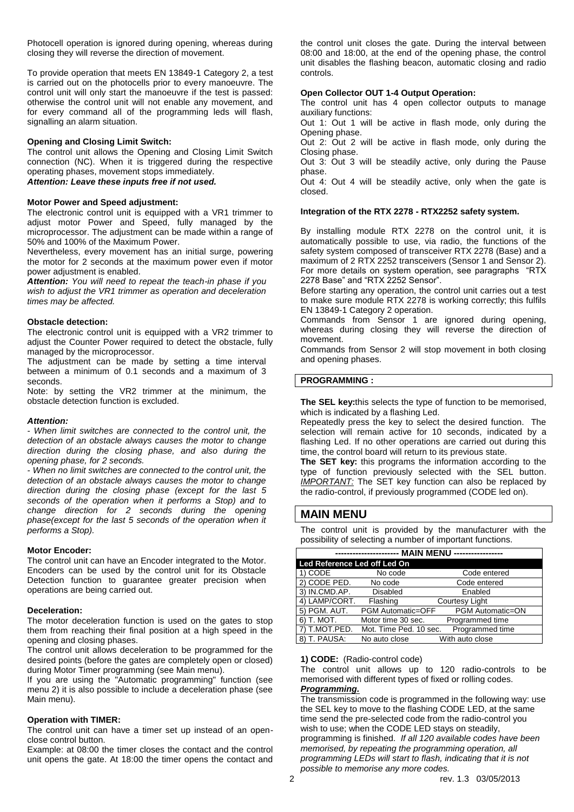Photocell operation is ignored during opening, whereas during closing they will reverse the direction of movement.

To provide operation that meets EN 13849-1 Category 2, a test is carried out on the photocells prior to every manoeuvre. The control unit will only start the manoeuvre if the test is passed: otherwise the control unit will not enable any movement, and for every command all of the programming leds will flash, signalling an alarm situation.

#### **Opening and Closing Limit Switch:**

The control unit allows the Opening and Closing Limit Switch connection (NC). When it is triggered during the respective operating phases, movement stops immediately. *Attention: Leave these inputs free if not used.*

#### **Motor Power and Speed adjustment:**

The electronic control unit is equipped with a VR1 trimmer to adjust motor Power and Speed, fully managed by the microprocessor. The adjustment can be made within a range of 50% and 100% of the Maximum Power.

Nevertheless, every movement has an initial surge, powering the motor for 2 seconds at the maximum power even if motor power adjustment is enabled.

*Attention: You will need to repeat the teach-in phase if you wish to adjust the VR1 trimmer as operation and deceleration times may be affected.*

#### **Obstacle detection:**

The electronic control unit is equipped with a VR2 trimmer to adjust the Counter Power required to detect the obstacle, fully managed by the microprocessor.

The adjustment can be made by setting a time interval between a minimum of 0.1 seconds and a maximum of 3 seconds.

Note: by setting the VR2 trimmer at the minimum, the obstacle detection function is excluded.

#### *Attention:*

*- When limit switches are connected to the control unit, the detection of an obstacle always causes the motor to change direction during the closing phase, and also during the opening phase, for 2 seconds.*

*- When no limit switches are connected to the control unit, the detection of an obstacle always causes the motor to change direction during the closing phase (except for the last 5 seconds of the operation when it performs a Stop) and to change direction for 2 seconds during the opening phase(except for the last 5 seconds of the operation when it performs a Stop).*

#### **Motor Encoder:**

The control unit can have an Encoder integrated to the Motor. Encoders can be used by the control unit for its Obstacle Detection function to guarantee greater precision when operations are being carried out.

#### **Deceleration:**

The motor deceleration function is used on the gates to stop them from reaching their final position at a high speed in the opening and closing phases.

The control unit allows deceleration to be programmed for the desired points (before the gates are completely open or closed) during Motor Timer programming (see Main menu).

If you are using the "Automatic programming" function (see menu 2) it is also possible to include a deceleration phase (see Main menu).

#### **Operation with TIMER:**

The control unit can have a timer set up instead of an openclose control button.

Example: at 08:00 the timer closes the contact and the control unit opens the gate. At 18:00 the timer opens the contact and the control unit closes the gate. During the interval between 08:00 and 18:00, at the end of the opening phase, the control unit disables the flashing beacon, automatic closing and radio controls.

## **Open Collector OUT 1-4 Output Operation:**

The control unit has 4 open collector outputs to manage auxiliary functions:

Out 1: Out 1 will be active in flash mode, only during the Opening phase.

Out 2: Out 2 will be active in flash mode, only during the Closing phase.

Out 3: Out 3 will be steadily active, only during the Pause phase.

Out 4: Out 4 will be steadily active, only when the gate is closed.

#### **Integration of the RTX 2278 - RTX2252 safety system.**

By installing module RTX 2278 on the control unit, it is automatically possible to use, via radio, the functions of the safety system composed of transceiver RTX 2278 (Base) and a maximum of 2 RTX 2252 transceivers (Sensor 1 and Sensor 2). For more details on system operation, see paragraphs "RTX 2278 Base" and "RTX 2252 Sensor".

Before starting any operation, the control unit carries out a test to make sure module RTX 2278 is working correctly; this fulfils EN 13849-1 Category 2 operation.

Commands from Sensor 1 are ignored during opening, whereas during closing they will reverse the direction of movement.

Commands from Sensor 2 will stop movement in both closing and opening phases.

#### **PROGRAMMING :**

**The SEL key:**this selects the type of function to be memorised, which is indicated by a flashing Led.

Repeatedly press the key to select the desired function. The selection will remain active for 10 seconds, indicated by a flashing Led. If no other operations are carried out during this time, the control board will return to its previous state.

**The SET key:** this programs the information according to the type of function previously selected with the SEL button. *IMPORTANT:* The SET key function can also be replaced by the radio-control, if previously programmed (CODE led on).

## **MAIN MENU**

The control unit is provided by the manufacturer with the possibility of selecting a number of important functions.

| <b>MAIN MENU</b><br>---------------- |                          |                         |  |
|--------------------------------------|--------------------------|-------------------------|--|
| Led Reference Led off Led On         |                          |                         |  |
| 1) CODE                              | No code                  | Code entered            |  |
| 2) CODE PED.                         | No code                  | Code entered            |  |
| 3) IN.CMD.AP.                        | <b>Disabled</b>          | Enabled                 |  |
| 4) LAMP/CORT.                        | Flashing                 | Courtesy Light          |  |
| 5) PGM. AUT.                         | <b>PGM Automatic=OFF</b> | <b>PGM Automatic=ON</b> |  |
| 6) T. MOT.                           | Motor time 30 sec.       | Programmed time         |  |
| 7) T.MOT.PED.                        | Mot. Time Ped. 10 sec.   | Programmed time         |  |
| T. PAUSA:<br>$\vert 8\rangle$        | No auto close            | With auto close         |  |

#### **1) CODE:** (Radio-control code)

The control unit allows up to 120 radio-controls to be memorised with different types of fixed or rolling codes. *Programming.*

The transmission code is programmed in the following way: use the SEL key to move to the flashing CODE LED, at the same time send the pre-selected code from the radio-control you wish to use; when the CODE LED stays on steadily, programming is finished. *If all 120 available codes have been memorised, by repeating the programming operation, all programming LEDs will start to flash, indicating that it is not possible to memorise any more codes.*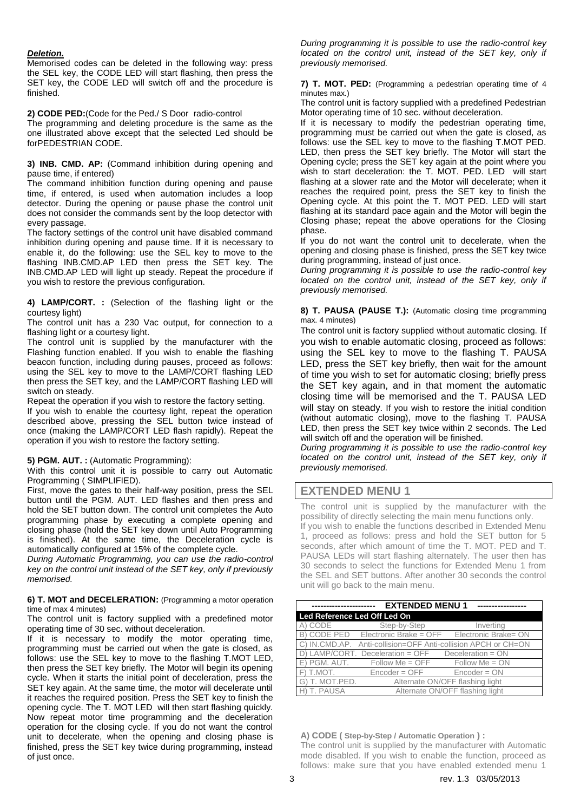### *Deletion.*

Memorised codes can be deleted in the following way: press the SEL key, the CODE LED will start flashing, then press the SET key, the CODE LED will switch off and the procedure is finished.

#### **2) CODE PED:**(Code for the Ped./ S Door radio-control

The programming and deleting procedure is the same as the one illustrated above except that the selected Led should be forPEDESTRIAN CODE.

**3) INB. CMD. AP:** (Command inhibition during opening and pause time, if entered)

The command inhibition function during opening and pause time, if entered, is used when automation includes a loop detector. During the opening or pause phase the control unit does not consider the commands sent by the loop detector with every passage.

The factory settings of the control unit have disabled command inhibition during opening and pause time. If it is necessary to enable it, do the following: use the SEL key to move to the flashing INB.CMD.AP LED then press the SET key. The INB.CMD.AP LED will light up steady. Repeat the procedure if you wish to restore the previous configuration.

**4) LAMP/CORT. :** (Selection of the flashing light or the courtesy light)

The control unit has a 230 Vac output, for connection to a flashing light or a courtesy light.

The control unit is supplied by the manufacturer with the Flashing function enabled. If you wish to enable the flashing beacon function, including during pauses, proceed as follows: using the SEL key to move to the LAMP/CORT flashing LED then press the SET key, and the LAMP/CORT flashing LED will switch on steady.

Repeat the operation if you wish to restore the factory setting.

If you wish to enable the courtesy light, repeat the operation described above, pressing the SEL button twice instead of once (making the LAMP/CORT LED flash rapidly). Repeat the operation if you wish to restore the factory setting.

**5) PGM. AUT. :** (Automatic Programming):

With this control unit it is possible to carry out Automatic Programming ( SIMPLIFIED).

First, move the gates to their half-way position, press the SEL button until the PGM. AUT. LED flashes and then press and hold the SET button down. The control unit completes the Auto programming phase by executing a complete opening and closing phase (hold the SET key down until Auto Programming is finished). At the same time, the Deceleration cycle is automatically configured at 15% of the complete cycle.

*During Automatic Programming, you can use the radio-control key on the control unit instead of the SET key, only if previously memorised.*

#### **6) T. MOT and DECELERATION:** (Programming a motor operation time of max 4 minutes)

The control unit is factory supplied with a predefined motor operating time of 30 sec. without deceleration.

If it is necessary to modify the motor operating time, programming must be carried out when the gate is closed, as follows: use the SEL key to move to the flashing T.MOT LED, then press the SET key briefly. The Motor will begin its opening cycle. When it starts the initial point of deceleration, press the SET key again. At the same time, the motor will decelerate until it reaches the required position. Press the SET key to finish the opening cycle. The T. MOT LED will then start flashing quickly. Now repeat motor time programming and the deceleration operation for the closing cycle. If you do not want the control unit to decelerate, when the opening and closing phase is finished, press the SET key twice during programming, instead of just once.

*During programming it is possible to use the radio-control key located on the control unit, instead of the SET key, only if previously memorised.*

**7) T. MOT. PED:** (Programming a pedestrian operating time of 4 minutes max.)

The control unit is factory supplied with a predefined Pedestrian Motor operating time of 10 sec. without deceleration.

If it is necessary to modify the pedestrian operating time, programming must be carried out when the gate is closed, as follows: use the SEL key to move to the flashing T.MOT PED. LED, then press the SET key briefly. The Motor will start the Opening cycle; press the SET key again at the point where you wish to start deceleration: the T. MOT. PED. LED will start flashing at a slower rate and the Motor will decelerate; when it reaches the required point, press the SET key to finish the Opening cycle. At this point the T. MOT PED. LED will start flashing at its standard pace again and the Motor will begin the Closing phase; repeat the above operations for the Closing phase.

If you do not want the control unit to decelerate, when the opening and closing phase is finished, press the SET key twice during programming, instead of just once.

*During programming it is possible to use the radio-control key located on the control unit, instead of the SET key, only if previously memorised.*

**8) T. PAUSA (PAUSE T.):** (Automatic closing time programming max. 4 minutes)

The control unit is factory supplied without automatic closing. If you wish to enable automatic closing, proceed as follows: using the SEL key to move to the flashing T. PAUSA LED, press the SET key briefly, then wait for the amount of time you wish to set for automatic closing; briefly press the SET key again, and in that moment the automatic closing time will be memorised and the T. PAUSA LED will stay on steady. If you wish to restore the initial condition (without automatic closing), move to the flashing T. PAUSA LED, then press the SET key twice within 2 seconds. The Led will switch off and the operation will be finished.

*During programming it is possible to use the radio-control key located on the control unit, instead of the SET key, only if previously memorised.*

## **EXTENDED MENU 1**

The control unit is supplied by the manufacturer with the possibility of directly selecting the main menu functions only.

If you wish to enable the functions described in Extended Menu 1, proceed as follows: press and hold the SET button for 5 seconds, after which amount of time the T. MOT. PED and T. PAUSA LEDs will start flashing alternately. The user then has 30 seconds to select the functions for Extended Menu 1 from the SEL and SET buttons. After another 30 seconds the control unit will go back to the main menu.

|                              | <b>EXTENDED MENU1</b>            |                                                         |
|------------------------------|----------------------------------|---------------------------------------------------------|
| Led Reference Led Off Led On |                                  |                                                         |
| CODE                         | Step-by-Step                     | Inverting                                               |
|                              |                                  | B) CODE PED Electronic Brake = OFF Electronic Brake= ON |
| C) IN.CMD.AP.                |                                  | Anti-collision=OFF Anti-collision APCH or CH=ON         |
|                              | D) LAMP/CORT. Deceleration = OFF | Deceleration = $ON$                                     |
| E) PGM. AUT.                 | $Follow Me = OFF$                | $Follow Me = ON$                                        |
| F) T.MOT.                    | $Encoder = OFF$                  | $Encoder = ON$                                          |
| G) T. MOT.PED.               |                                  | Alternate ON/OFF flashing light                         |
| H) T. PAUSA                  |                                  | Alternate ON/OFF flashing light                         |

**A) CODE ( Step-by-Step / Automatic Operation ) :** The control unit is supplied by the manufacturer with Automatic mode disabled. If you wish to enable the function, proceed as follows: make sure that you have enabled extended menu 1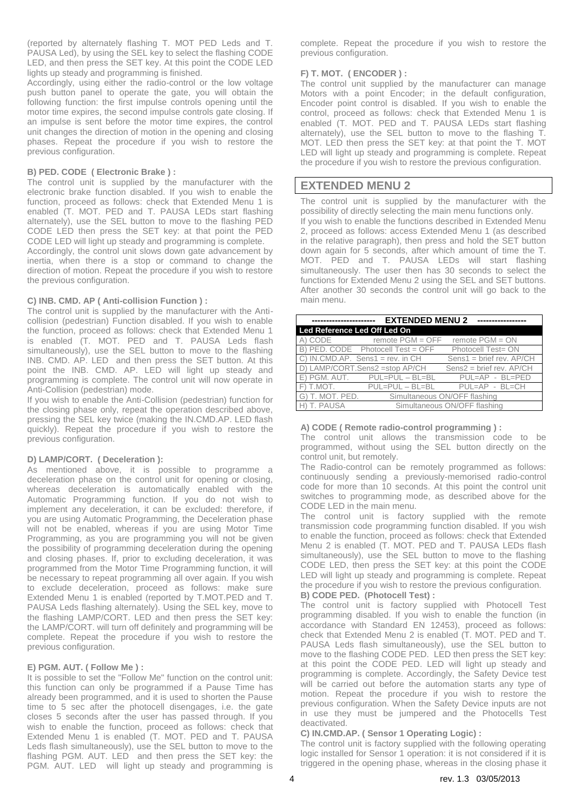(reported by alternately flashing T. MOT PED Leds and T. PAUSA Led), by using the SEL key to select the flashing CODE LED, and then press the SET key. At this point the CODE LED lights up steady and programming is finished.

Accordingly, using either the radio-control or the low voltage push button panel to operate the gate, you will obtain the following function: the first impulse controls opening until the motor time expires, the second impulse controls gate closing. If an impulse is sent before the motor time expires, the control unit changes the direction of motion in the opening and closing phases. Repeat the procedure if you wish to restore the previous configuration.

### **B) PED. CODE ( Electronic Brake ) :**

The control unit is supplied by the manufacturer with the electronic brake function disabled. If you wish to enable the function, proceed as follows: check that Extended Menu 1 is enabled (T. MOT. PED and T. PAUSA LEDs start flashing alternately), use the SEL button to move to the flashing PED CODE LED then press the SET key: at that point the PED CODE LED will light up steady and programming is complete.

Accordingly, the control unit slows down gate advancement by inertia, when there is a stop or command to change the direction of motion. Repeat the procedure if you wish to restore the previous configuration.

#### **C) INB. CMD. AP ( Anti-collision Function ) :**

The control unit is supplied by the manufacturer with the Anticollision (pedestrian) Function disabled. If you wish to enable the function, proceed as follows: check that Extended Menu 1 is enabled (T. MOT. PED and T. PAUSA Leds flash simultaneously), use the SEL button to move to the flashing INB. CMD. AP. LED and then press the SET button. At this point the INB. CMD. AP. LED will light up steady and programming is complete. The control unit will now operate in Anti-Collision (pedestrian) mode.

If you wish to enable the Anti-Collision (pedestrian) function for the closing phase only, repeat the operation described above, pressing the SEL key twice (making the IN.CMD.AP. LED flash quickly). Repeat the procedure if you wish to restore the previous configuration.

### **D) LAMP/CORT. ( Deceleration ):**

As mentioned above, it is possible to programme a deceleration phase on the control unit for opening or closing, whereas deceleration is automatically enabled with the Automatic Programming function. If you do not wish to implement any deceleration, it can be excluded: therefore, if you are using Automatic Programming, the Deceleration phase will not be enabled, whereas if you are using Motor Time Programming, as you are programming you will not be given the possibility of programming deceleration during the opening and closing phases. If, prior to excluding deceleration, it was programmed from the Motor Time Programming function, it will be necessary to repeat programming all over again. If you wish to exclude deceleration, proceed as follows: make sure Extended Menu 1 is enabled (reported by T.MOT.PED and T. PAUSA Leds flashing alternately). Using the SEL key, move to the flashing LAMP/CORT. LED and then press the SET key: the LAMP/CORT. will turn off definitely and programming will be complete. Repeat the procedure if you wish to restore the previous configuration.

#### **E) PGM. AUT. ( Follow Me ) :**

It is possible to set the "Follow Me" function on the control unit: this function can only be programmed if a Pause Time has already been programmed, and it is used to shorten the Pause time to 5 sec after the photocell disengages, i.e. the gate closes 5 seconds after the user has passed through. If you wish to enable the function, proceed as follows: check that Extended Menu 1 is enabled (T. MOT. PED and T. PAUSA Leds flash simultaneously), use the SEL button to move to the flashing PGM. AUT. LED and then press the SET key: the PGM. AUT. LED will light up steady and programming is

complete. Repeat the procedure if you wish to restore the previous configuration.

### **F) T. MOT. ( ENCODER ) :**

The control unit supplied by the manufacturer can manage Motors with a point Encoder; in the default configuration, Encoder point control is disabled. If you wish to enable the control, proceed as follows: check that Extended Menu 1 is enabled (T. MOT. PED and T. PAUSA LEDs start flashing alternately), use the SEL button to move to the flashing T. MOT. LED then press the SET key: at that point the T. MOT LED will light up steady and programming is complete. Repeat the procedure if you wish to restore the previous configuration.

## **EXTENDED MENU 2**

The control unit is supplied by the manufacturer with the possibility of directly selecting the main menu functions only. If you wish to enable the functions described in Extended Menu 2, proceed as follows: access Extended Menu 1 (as described in the relative paragraph), then press and hold the SET button down again for 5 seconds, after which amount of time the T. MOT. PED and T. PAUSA LEDs will start flashing simultaneously. The user then has 30 seconds to select the functions for Extended Menu 2 using the SEL and SET buttons. After another 30 seconds the control unit will go back to the main menu.

| -----------------                               | <b>EXTENDED MENU 2</b>            |                              |
|-------------------------------------------------|-----------------------------------|------------------------------|
| Led Reference Led Off Led On                    |                                   |                              |
| CODE                                            | remote $PGM = OFF$                | remote $PGM = ON$            |
|                                                 | B) PED. CODE Photocell Test = OFF | Photocell Test= ON           |
| $C)$ IN.CMD.AP. Sens1 = rev. in CH              |                                   | $Sens1 = brief rev. AP/CH$   |
|                                                 | D) LAMP/CORT.Sens2 =stop AP/CH    | $Sens2 = brief rev. AP/CH$   |
|                                                 | E) PGM. AUT. PUL=PUL - BL=BL      | $PUL = AP - BL = PED$        |
|                                                 | $F)$ T.MOT. PUL=PUL – BL=BL       | PUL=AP - BL=CH               |
| G) T. MOT. PED.<br>Simultaneous ON/OFF flashing |                                   |                              |
| H) T. PAUSA                                     |                                   | Simultaneous ON/OFF flashing |

#### **A) CODE ( Remote radio-control programming ) :**

The control unit allows the transmission code to be programmed, without using the SEL button directly on the control unit, but remotely.

The Radio-control can be remotely programmed as follows: continuously sending a previously-memorised radio-control code for more than 10 seconds. At this point the control unit switches to programming mode, as described above for the CODE LED in the main menu.

The control unit is factory supplied with the remote transmission code programming function disabled. If you wish to enable the function, proceed as follows: check that Extended Menu 2 is enabled (T. MOT. PED and T. PAUSA LEDs flash simultaneously), use the SEL button to move to the flashing CODE LED, then press the SET key: at this point the CODE LED will light up steady and programming is complete. Repeat the procedure if you wish to restore the previous configuration. **B) CODE PED. (Photocell Test) :**

The control unit is factory supplied with Photocell Test programming disabled. If you wish to enable the function (in accordance with Standard EN 12453), proceed as follows: check that Extended Menu 2 is enabled (T. MOT. PED and T. PAUSA Leds flash simultaneously), use the SEL button to move to the flashing CODE PED. LED then press the SET key: at this point the CODE PED. LED will light up steady and programming is complete. Accordingly, the Safety Device test will be carried out before the automation starts any type of motion. Repeat the procedure if you wish to restore the previous configuration. When the Safety Device inputs are not in use they must be jumpered and the Photocells Test deactivated.

#### **C) IN.CMD.AP. ( Sensor 1 Operating Logic) :**

The control unit is factory supplied with the following operating logic installed for Sensor 1 operation: it is not considered if it is triggered in the opening phase, whereas in the closing phase it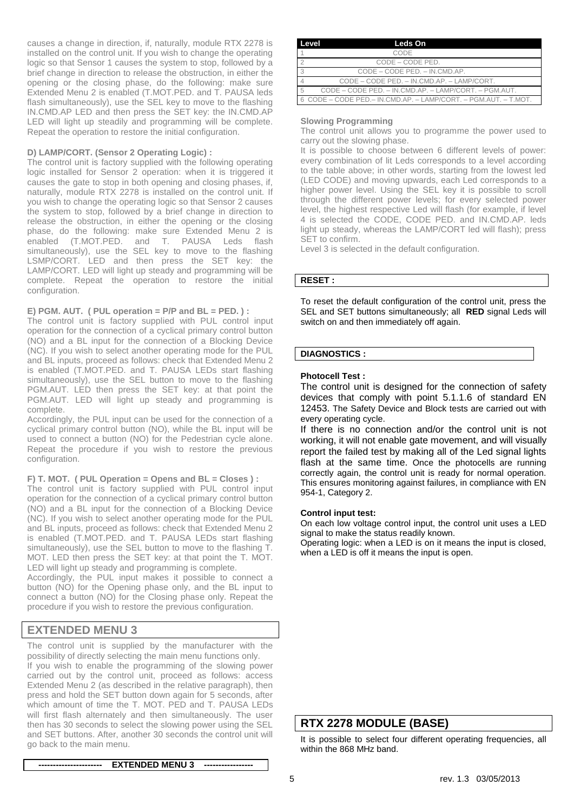causes a change in direction, if, naturally, module RTX 2278 is installed on the control unit. If you wish to change the operating logic so that Sensor 1 causes the system to stop, followed by a brief change in direction to release the obstruction, in either the opening or the closing phase, do the following: make sure Extended Menu 2 is enabled (T.MOT.PED. and T. PAUSA leds flash simultaneously), use the SEL key to move to the flashing IN.CMD.AP LED and then press the SET key: the IN.CMD.AP LED will light up steadily and programming will be complete. Repeat the operation to restore the initial configuration.

## **D) LAMP/CORT. (Sensor 2 Operating Logic) :**

The control unit is factory supplied with the following operating logic installed for Sensor 2 operation: when it is triggered it causes the gate to stop in both opening and closing phases, if, naturally, module RTX 2278 is installed on the control unit. If you wish to change the operating logic so that Sensor 2 causes the system to stop, followed by a brief change in direction to release the obstruction, in either the opening or the closing phase, do the following: make sure Extended Menu 2 is enabled (T.MOT.PED. and T. PAUSA Leds flash simultaneously), use the SEL key to move to the flashing LSMP/CORT. LED and then press the SET key: the LAMP/CORT. LED will light up steady and programming will be complete. Repeat the operation to restore the initial configuration.

## **E) PGM. AUT. ( PUL operation = P/P and BL = PED. ) :**

The control unit is factory supplied with PUL control input operation for the connection of a cyclical primary control button (NO) and a BL input for the connection of a Blocking Device (NC). If you wish to select another operating mode for the PUL and BL inputs, proceed as follows: check that Extended Menu 2 is enabled (T.MOT.PED. and T. PAUSA LEDs start flashing simultaneously), use the SEL button to move to the flashing PGM.AUT. LED then press the SET key: at that point the PGM.AUT. LED will light up steady and programming is complete.

Accordingly, the PUL input can be used for the connection of a cyclical primary control button (NO), while the BL input will be used to connect a button (NO) for the Pedestrian cycle alone. Repeat the procedure if you wish to restore the previous configuration.

**F) T. MOT. ( PUL Operation = Opens and BL = Closes ) :**

The control unit is factory supplied with PUL control input operation for the connection of a cyclical primary control button (NO) and a BL input for the connection of a Blocking Device (NC). If you wish to select another operating mode for the PUL and BL inputs, proceed as follows: check that Extended Menu 2 is enabled (T.MOT.PED. and T. PAUSA LEDs start flashing simultaneously), use the SEL button to move to the flashing T. MOT. LED then press the SET key: at that point the T. MOT. LED will light up steady and programming is complete.

Accordingly, the PUL input makes it possible to connect a button (NO) for the Opening phase only, and the BL input to connect a button (NO) for the Closing phase only. Repeat the procedure if you wish to restore the previous configuration.

## **EXTENDED MENU 3**

The control unit is supplied by the manufacturer with the possibility of directly selecting the main menu functions only. If you wish to enable the programming of the slowing power carried out by the control unit, proceed as follows: access Extended Menu 2 (as described in the relative paragraph), then press and hold the SET button down again for 5 seconds, after which amount of time the T. MOT. PED and T. PAUSA LEDs will first flash alternately and then simultaneously. The user then has 30 seconds to select the slowing power using the SEL and SET buttons. After, another 30 seconds the control unit will go back to the main menu.

| Level | Leds On                                                         |  |  |
|-------|-----------------------------------------------------------------|--|--|
|       | CODE                                                            |  |  |
|       | CODE – CODE PED.                                                |  |  |
|       | CODE - CODE PED. - IN.CMD.AP.                                   |  |  |
|       | CODE – CODE PED. – IN.CMD.AP. – LAMP/CORT.                      |  |  |
| -5    | CODE – CODE PED. – IN.CMD.AP. – LAMP/CORT. – PGM.AUT.           |  |  |
|       | 6 CODE – CODE PED.– IN CMD.AP. – LAMP/CORT. – PGM.AUT. – T.MOT. |  |  |

#### **Slowing Programming**

The control unit allows you to programme the power used to carry out the slowing phase.

It is possible to choose between 6 different levels of power: every combination of lit Leds corresponds to a level according to the table above; in other words, starting from the lowest led (LED CODE) and moving upwards, each Led corresponds to a higher power level. Using the SEL key it is possible to scroll through the different power levels; for every selected power level, the highest respective Led will flash (for example, if level 4 is selected the CODE, CODE PED. and IN.CMD.AP. leds light up steady, whereas the LAMP/CORT led will flash); press SET to confirm.

Level 3 is selected in the default configuration.

## **RESET :**

To reset the default configuration of the control unit, press the SEL and SET buttons simultaneously; all **RED** signal Leds will switch on and then immediately off again.

## **DIAGNOSTICS :**

## **Photocell Test :**

The control unit is designed for the connection of safety devices that comply with point 5.1.1.6 of standard EN 12453. The Safety Device and Block tests are carried out with every operating cycle.

If there is no connection and/or the control unit is not working, it will not enable gate movement, and will visually report the failed test by making all of the Led signal lights flash at the same time. Once the photocells are running correctly again, the control unit is ready for normal operation. This ensures monitoring against failures, in compliance with EN 954-1, Category 2.

#### **Control input test:**

On each low voltage control input, the control unit uses a LED signal to make the status readily known.

Operating logic: when a LED is on it means the input is closed, when a LED is off it means the input is open.

## **RTX 2278 MODULE (BASE)**

It is possible to select four different operating frequencies, all within the 868 MHz band.

**---------------------- EXTENDED MENU 3 -----------------**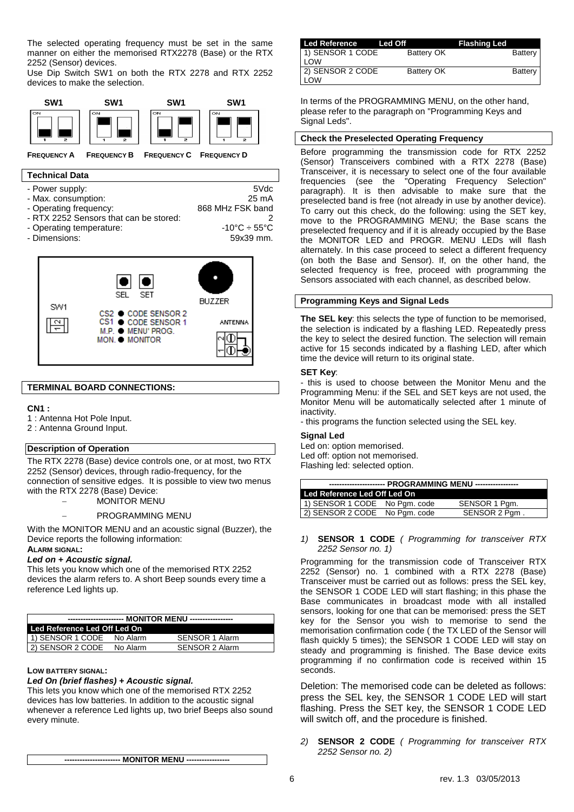The selected operating frequency must be set in the same manner on either the memorised RTX2278 (Base) or the RTX 2252 (Sensor) devices.

Use Dip Switch SW1 on both the RTX 2278 and RTX 2252 devices to make the selection.



## **Technical Data**

- Power supply: 5Vdc
- 
- Max. consumption: 25 mA<br>- Operating frequency: 25 mA<br>- 268 MHz FSK band - Operating frequency:
- 
- PRTX 2252 Sensors that can be stored:<br>- Operating temperature: 2<br>-10°C ÷ 55°C
- 
- Dimensions:





## **TERMINAL BOARD CONNECTIONS:**

#### **CN1 :**

- 1 : Antenna Hot Pole Input.
- 2 : Antenna Ground Input.

#### **Description of Operation**

The RTX 2278 (Base) device controls one, or at most, two RTX 2252 (Sensor) devices, through radio-frequency, for the connection of sensitive edges. It is possible to view two menus with the RTX 2278 (Base) Device:

MONITOR MENU

#### PROGRAMMING MENU

With the MONITOR MENU and an acoustic signal (Buzzer), the Device reports the following information:

## **ALARM SIGNAL:**

#### *Led on + Acoustic signal.*

This lets you know which one of the memorised RTX 2252 devices the alarm refers to. A short Beep sounds every time a reference Led lights up.

| ---------------------- MONITOR MENU ----------------- |          |                |  |
|-------------------------------------------------------|----------|----------------|--|
| Led Reference Led Off Led On                          |          |                |  |
| 1) SENSOR 1 CODE                                      | No Alarm | SENSOR 1 Alarm |  |
| 2) SENSOR 2 CODE                                      | No Alarm | SENSOR 2 Alarm |  |

#### **LOW BATTERY SIGNAL:**

### *Led On (brief flashes) + Acoustic signal.*

This lets you know which one of the memorised RTX 2252 devices has low batteries. In addition to the acoustic signal whenever a reference Led lights up, two brief Beeps also sound every minute.

**---------------------- MONITOR MENU -----------------**

| Led Reference Led Off          |                   | <b>Flashing Led</b> |
|--------------------------------|-------------------|---------------------|
| 1) SENSOR 1 CODE<br><b>LOW</b> | Battery OK        | Battery             |
| 2) SENSOR 2 CODE<br><b>LOW</b> | <b>Battery OK</b> | Battery             |

In terms of the PROGRAMMING MENU, on the other hand, please refer to the paragraph on "Programming Keys and Signal Leds".

### **Check the Preselected Operating Frequency**

Before programming the transmission code for RTX 2252 (Sensor) Transceivers combined with a RTX 2278 (Base) Transceiver, it is necessary to select one of the four available frequencies (see the "Operating Frequency Selection" paragraph). It is then advisable to make sure that the preselected band is free (not already in use by another device). To carry out this check, do the following: using the SET key, move to the PROGRAMMING MENU; the Base scans the preselected frequency and if it is already occupied by the Base the MONITOR LED and PROGR. MENU LEDs will flash alternately. In this case proceed to select a different frequency (on both the Base and Sensor). If, on the other hand, the selected frequency is free, proceed with programming the Sensors associated with each channel, as described below.

### **Programming Keys and Signal Leds**

**The SEL key**: this selects the type of function to be memorised, the selection is indicated by a flashing LED. Repeatedly press the key to select the desired function. The selection will remain active for 15 seconds indicated by a flashing LED, after which time the device will return to its original state.

#### **SET Key**:

- this is used to choose between the Monitor Menu and the Programming Menu: if the SEL and SET keys are not used, the Monitor Menu will be automatically selected after 1 minute of inactivity.

- this programs the function selected using the SEL key.

#### **Signal Led**

Led on: option memorised. Led off: option not memorised.

Flashing led: selected option.

| ---------------------- PROGRAMMING MENU ----------------- |  |               |
|-----------------------------------------------------------|--|---------------|
| Led Reference Led Off Led On                              |  |               |
| 1) SENSOR 1 CODE No Pgm. code                             |  | SENSOR 1 Pgm. |
| 2) SENSOR 2 CODE No Pgm. code                             |  | SENSOR 2 Pgm. |
|                                                           |  |               |

#### *1)* **SENSOR 1 CODE** *( Programming for transceiver RTX 2252 Sensor no. 1)*

Programming for the transmission code of Transceiver RTX 2252 (Sensor) no. 1 combined with a RTX 2278 (Base) Transceiver must be carried out as follows: press the SEL key, the SENSOR 1 CODE LED will start flashing; in this phase the Base communicates in broadcast mode with all installed sensors, looking for one that can be memorised: press the SET key for the Sensor you wish to memorise to send the memorisation confirmation code ( the TX LED of the Sensor will flash quickly 5 times); the SENSOR 1 CODE LED will stay on steady and programming is finished. The Base device exits programming if no confirmation code is received within 15 seconds.

Deletion: The memorised code can be deleted as follows: press the SEL key, the SENSOR 1 CODE LED will start flashing. Press the SET key, the SENSOR 1 CODE LED will switch off, and the procedure is finished.

*2)* **SENSOR 2 CODE** *( Programming for transceiver RTX 2252 Sensor no. 2)*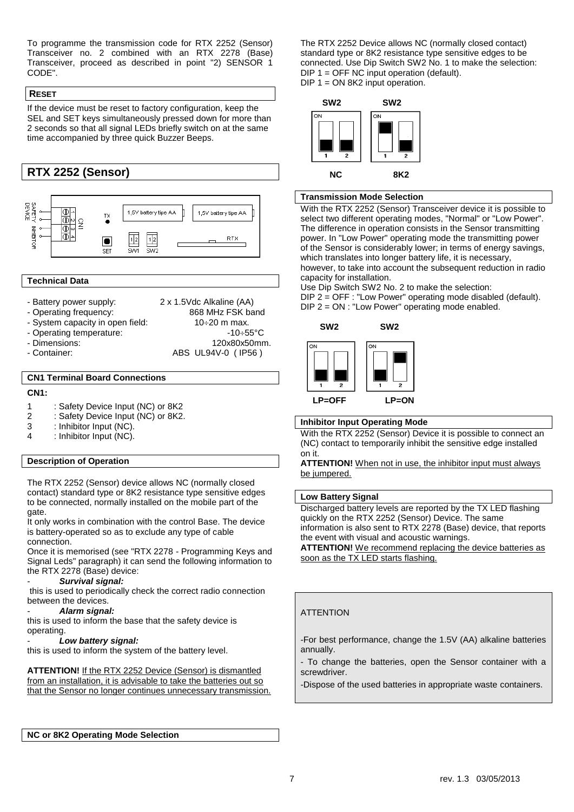To programme the transmission code for RTX 2252 (Sensor) Transceiver no. 2 combined with an RTX 2278 (Base) Transceiver, proceed as described in point "2) SENSOR 1 CODE".

## **RESET**

If the device must be reset to factory configuration, keep the SEL and SET keys simultaneously pressed down for more than 2 seconds so that all signal LEDs briefly switch on at the same time accompanied by three quick Buzzer Beeps.



### **Technical Data**

- 
- Battery power supply: 2 x 1.5Vdc Alkaline (AA)<br>- Operating frequency: 868 MHz FSK band
- Operating frequency:
- System capacity in open field:  $10\div 20$  m max.
- 
- 
- 
- Operating temperature:  $\overline{10+55}^{\circ}$ C -10÷55°C Dimensions:  $\overline{120x80x50}$ mr - Dimensions: 120x80x50mm.<br>- Container: 120x80x50mm.<br>- ABS UL94V-0 (IP56) ABS UL94V-0 ( IP56 )

## **CN1 Terminal Board Connections**

### **CN1:**

- 1 : Safety Device Input (NC) or 8K2
- 2 : Safety Device Input (NC) or 8K2.<br>3 : Inhibitor Input (NC).
- $\frac{3}{4}$  : Inhibitor Input (NC).
- : Inhibitor Input (NC).

## **Description of Operation**

The RTX 2252 (Sensor) device allows NC (normally closed contact) standard type or 8K2 resistance type sensitive edges to be connected, normally installed on the mobile part of the gate.

It only works in combination with the control Base. The device is battery-operated so as to exclude any type of cable connection.

Once it is memorised (see "RTX 2278 - Programming Keys and Signal Leds" paragraph) it can send the following information to the RTX 2278 (Base) device:

#### - *Survival signal:*

this is used to periodically check the correct radio connection between the devices.

## - *Alarm signal:*

this is used to inform the base that the safety device is operating.

#### - *Low battery signal:*

this is used to inform the system of the battery level.

**ATTENTION!** If the RTX 2252 Device (Sensor) is dismantled from an installation, it is advisable to take the batteries out so that the Sensor no longer continues unnecessary transmission.

**NC or 8K2 Operating Mode Selection**

The RTX 2252 Device allows NC (normally closed contact) standard type or 8K2 resistance type sensitive edges to be connected. Use Dip Switch SW2 No. 1 to make the selection:  $DIP 1 = OFF NC input operation (default).$  $DIP 1 = ON 8K2$  input operation.



## **Transmission Mode Selection**

With the RTX 2252 (Sensor) Transceiver device it is possible to select two different operating modes, "Normal" or "Low Power". The difference in operation consists in the Sensor transmitting power. In "Low Power" operating mode the transmitting power of the Sensor is considerably lower; in terms of energy savings, which translates into longer battery life, it is necessary, however, to take into account the subsequent reduction in radio capacity for installation.

Use Dip Switch SW2 No. 2 to make the selection: DIP 2 = OFF : "Low Power" operating mode disabled (default). DIP 2 = ON : "Low Power" operating mode enabled.



## **Inhibitor Input Operating Mode**

With the RTX 2252 (Sensor) Device it is possible to connect an (NC) contact to temporarily inhibit the sensitive edge installed on it.

**ATTENTION!** When not in use, the inhibitor input must always be jumpered.

## **Low Battery Signal**

Discharged battery levels are reported by the TX LED flashing quickly on the RTX 2252 (Sensor) Device. The same information is also sent to RTX 2278 (Base) device, that reports the event with visual and acoustic warnings.

**ATTENTION!** We recommend replacing the device batteries as soon as the TX LED starts flashing.

## **ATTENTION**

-For best performance, change the 1.5V (AA) alkaline batteries annually.

- To change the batteries, open the Sensor container with a screwdriver.

-Dispose of the used batteries in appropriate waste containers.